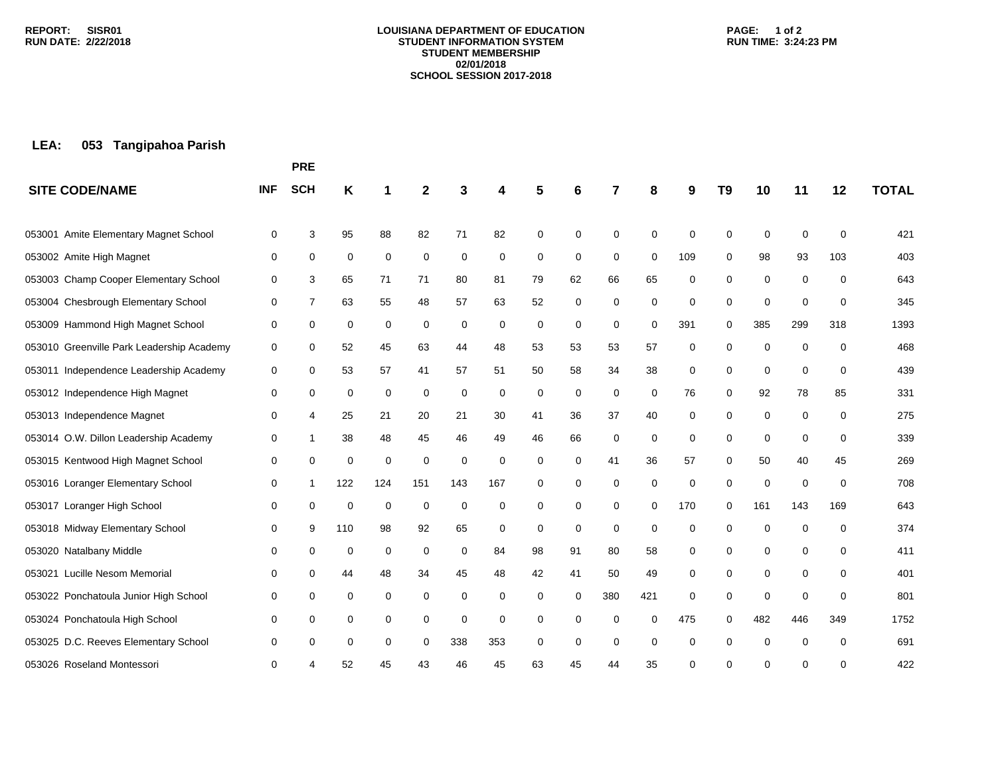#### **LOUISIANA DEPARTMENT OF EDUCATION STUDENT INFORMATION SYSTEM STUDENT MEMBERSHIP 02/01/2018 SCHOOL SESSION 2017-2018**

### **PAGE: 1 of 2 RUN TIME: 3:24:23 PM**

# **LEA: 053 Tangipahoa Parish**

|                                           |            | <b>PRE</b>     |     |             |             |     |     |    |             |             |             |     |          |             |             |     |              |
|-------------------------------------------|------------|----------------|-----|-------------|-------------|-----|-----|----|-------------|-------------|-------------|-----|----------|-------------|-------------|-----|--------------|
| <b>SITE CODE/NAME</b>                     | <b>INF</b> | <b>SCH</b>     | Κ   |             | 2           |     | 4   | 5  | 6           | 7           | 8           | 9   | T9       | 10          | 11          | 12  | <b>TOTAL</b> |
| Amite Elementary Magnet School<br>053001  | 0          | 3              | 95  | 88          | 82          | 71  | 82  | 0  | 0           | 0           | $\Omega$    | 0   | 0        | $\mathbf 0$ | 0           | 0   | 421          |
| 053002 Amite High Magnet                  | 0          | 0              | 0   | $\mathbf 0$ | 0           | 0   | 0   | 0  | 0           | 0           | $\mathbf 0$ | 109 | 0        | 98          | 93          | 103 | 403          |
| 053003 Champ Cooper Elementary School     | 0          | 3              | 65  | 71          | 71          | 80  | 81  | 79 | 62          | 66          | 65          | 0   | 0        | $\mathbf 0$ | $\mathbf 0$ | 0   | 643          |
| 053004 Chesbrough Elementary School       | 0          | $\overline{7}$ | 63  | 55          | 48          | 57  | 63  | 52 | $\mathbf 0$ | 0           | 0           | 0   | 0        | $\mathbf 0$ | $\mathbf 0$ | 0   | 345          |
| 053009 Hammond High Magnet School         | 0          | 0              | 0   | 0           | 0           | 0   | 0   | 0  | 0           | 0           | 0           | 391 | 0        | 385         | 299         | 318 | 1393         |
| 053010 Greenville Park Leadership Academy | 0          | 0              | 52  | 45          | 63          | 44  | 48  | 53 | 53          | 53          | 57          | 0   | 0        | 0           | $\mathbf 0$ | 0   | 468          |
| 053011 Independence Leadership Academy    | 0          | 0              | 53  | 57          | 41          | 57  | 51  | 50 | 58          | 34          | 38          | 0   | 0        | $\mathbf 0$ | $\mathbf 0$ | 0   | 439          |
| 053012 Independence High Magnet           | 0          | 0              | 0   | 0           | 0           | 0   | 0   | 0  | 0           | 0           | 0           | 76  | 0        | 92          | 78          | 85  | 331          |
| 053013 Independence Magnet                | 0          | 4              | 25  | 21          | 20          | 21  | 30  | 41 | 36          | 37          | 40          | 0   | 0        | 0           | 0           | 0   | 275          |
| 053014 O.W. Dillon Leadership Academy     | 0          | 1              | 38  | 48          | 45          | 46  | 49  | 46 | 66          | 0           | $\mathbf 0$ | 0   | 0        | 0           | $\mathbf 0$ | 0   | 339          |
| 053015 Kentwood High Magnet School        | 0          | $\mathbf 0$    | 0   | 0           | $\mathbf 0$ | 0   | 0   | 0  | 0           | 41          | 36          | 57  | 0        | 50          | 40          | 45  | 269          |
| 053016 Loranger Elementary School         | 0          | 1              | 122 | 124         | 151         | 143 | 167 | 0  | 0           | 0           | 0           | 0   | 0        | $\mathbf 0$ | 0           | 0   | 708          |
| 053017 Loranger High School               | 0          | $\mathbf 0$    | 0   | 0           | $\mathbf 0$ | 0   | 0   | 0  | 0           | 0           | 0           | 170 | 0        | 161         | 143         | 169 | 643          |
| 053018 Midway Elementary School           | 0          | 9              | 110 | 98          | 92          | 65  | 0   | 0  | 0           | $\mathbf 0$ | 0           | 0   | 0        | 0           | $\mathbf 0$ | 0   | 374          |
| 053020 Natalbany Middle                   | 0          | 0              | 0   | 0           | 0           | 0   | 84  | 98 | 91          | 80          | 58          | 0   | 0        | 0           | 0           | 0   | 411          |
| 053021 Lucille Nesom Memorial             | 0          | 0              | 44  | 48          | 34          | 45  | 48  | 42 | 41          | 50          | 49          | 0   | 0        | 0           | 0           | 0   | 401          |
| 053022 Ponchatoula Junior High School     | 0          | 0              | 0   | 0           | 0           | 0   | 0   | 0  | 0           | 380         | 421         | 0   | 0        | 0           | 0           | 0   | 801          |
| 053024 Ponchatoula High School            | 0          | 0              | 0   | 0           | 0           | 0   | 0   | 0  | 0           | 0           | $\Omega$    | 475 | $\Omega$ | 482         | 446         | 349 | 1752         |
| 053025 D.C. Reeves Elementary School      | 0          | 0              | 0   | 0           | 0           | 338 | 353 | 0  | 0           | $\mathbf 0$ | $\Omega$    | 0   | 0        | 0           | $\mathbf 0$ | 0   | 691          |
| 053026 Roseland Montessori                | 0          |                | 52  | 45          | 43          | 46  | 45  | 63 | 45          | 44          | 35          | 0   | 0        | ∩           | 0           | 0   | 422          |